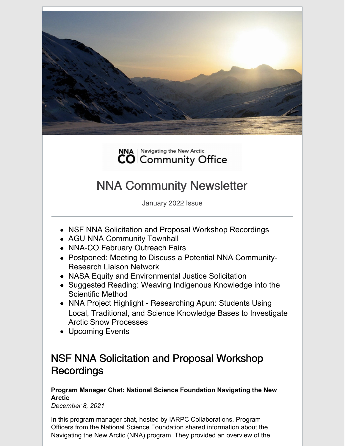



# NNA Community Newsletter

January 2022 Issue

- NSF NNA Solicitation and Proposal Workshop Recordings
- AGU NNA Community Townhall
- NNA-CO February Outreach Fairs
- Postponed: Meeting to Discuss a Potential NNA Community-Research Liaison Network
- NASA Equity and Environmental Justice Solicitation
- Suggested Reading: Weaving Indigenous Knowledge into the Scientific Method
- NNA Project Highlight Researching Apun: Students Using Local, Traditional, and Science Knowledge Bases to Investigate Arctic Snow Processes
- Upcoming Events

### NSF NNA Solicitation and Proposal Workshop **Recordings**

**Program Manager Chat: National Science Foundation Navigating the New Arctic**

*December 8, 2021*

In this program manager chat, hosted by IARPC Collaborations, Program Officers from the National Science Foundation shared information about the Navigating the New Arctic (NNA) program. They provided an overview of the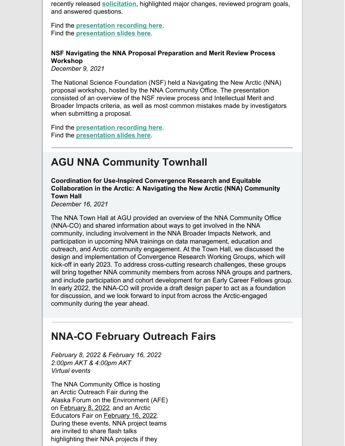recently released **[solicitation](https://www.nsf.gov/publications/pub_summ.jsp?WT.z_pims_id=505594&ods_key=nsf22520)**, highlighted major changes, reviewed program goals, and answered questions.

Find the **[presentation](https://www.youtube.com/watch?v=T50HdfjttvM) recording here**. Find the **[presentation](https://www.nsf.gov/geo/opp/arctic/nna/NNA Slide Deck FY22.pdf) slides here**.

#### **NSF Navigating the NNA Proposal Preparation and Merit Review Process Workshop**

*December 9, 2021*

The National Science Foundation (NSF) held a Navigating the New Arctic (NNA) proposal workshop, hosted by the NNA Community Office. The presentation consisted of an overview of the NSF review process and Intellectual Merit and Broader Impacts criteria, as well as most common mistakes made by investigators when submitting a proposal.

Find the **[presentation](https://www.youtube.com/watch?v=RQZTPpixm-4) recording here**. Find the **[presentation](https://www.nna-co.org/sites/default/files/2021-12/NSF NNA Proposal Workshop Presentation Slides.pdf) slides here**.

## **AGU NNA Community Townhall**

**Coordination for Use-Inspired Convergence Research and Equitable Collaboration in the Arctic: A Navigating the New Arctic (NNA) Community Town Hall**

*December 16, 2021*

The NNA Town Hall at AGU provided an overview of the NNA Community Office (NNA-CO) and shared information about ways to get involved in the NNA community, including involvement in the NNA Broader Impacts Network, and participation in upcoming NNA trainings on data management, education and outreach, and Arctic community engagement. At the Town Hall, we discussed the design and implementation of Convergence Research Working Groups, which will kick-off in early 2023. To address cross-cutting research challenges, these groups will bring together NNA community members from across NNA groups and partners, and include participation and cohort development for an Early Career Fellows group. In early 2022, the NNA-CO will provide a draft design paper to act as a foundation for discussion, and we look forward to input from across the Arctic-engaged community during the year ahead.

#### **NNA-CO February Outreach Fairs**

*February 8, 2022 & February 16, 2022 2:00pm AKT & 4:00pm AKT Virtual events*

The NNA Community Office is hosting an Arctic Outreach Fair during the Alaska Forum on the Environment (AFE) on February 8, 2022, and an Arctic Educators Fair on February 16, 2022. During these events, NNA project teams are invited to share flash talks highlighting their NNA projects if they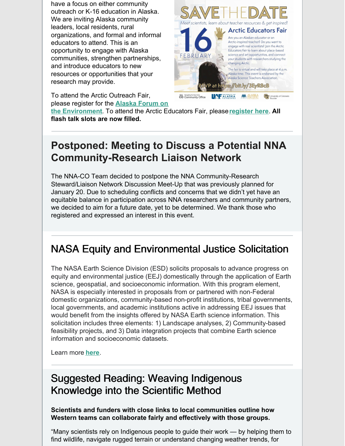have a focus on either community outreach or K-16 education in Alaska. We are inviting Alaska community leaders, local residents, rural organizations, and formal and informal educators to attend. This is an opportunity to engage with Alaska communities, strengthen partnerships, and introduce educators to new resources or opportunities that your research may provide.

To attend the Arctic Outreach Fair, please register for the **Alaska Forum on**



**the [Environment](https://akforum.org/)**. To attend the Arctic Educators Fair, please**[register](https://www.eventbrite.com/e/arctic-educators-fair-tickets-222303223927) here**. **All flash talk slots are now filled.**

### **Postponed: Meeting to Discuss a Potential NNA Community-Research Liaison Network**

The NNA-CO Team decided to postpone the NNA Community-Research Steward/Liaison Network Discussion Meet-Up that was previously planned for January 20. Due to scheduling conflicts and concerns that we didn't yet have an equitable balance in participation across NNA researchers and community partners, we decided to aim for a future date, yet to be determined. We thank those who registered and expressed an interest in this event.

# NASA Equity and Environmental Justice Solicitation

The NASA Earth Science Division (ESD) solicits proposals to advance progress on equity and environmental justice (EEJ) domestically through the application of Earth science, geospatial, and socioeconomic information. With this program element, NASA is especially interested in proposals from or partnered with non-Federal domestic organizations, community-based non-profit institutions, tribal governments, local governments, and academic institutions active in addressing EEJ issues that would benefit from the insights offered by NASA Earth science information. This solicitation includes three elements: 1) Landscape analyses, 2) Community-based feasibility projects, and 3) Data integration projects that combine Earth science information and socioeconomic datasets.

Learn more **[here](https://nspires.nasaprs.com/external/solicitations/summary.do?solId=%7b9C5CDB21-B9B4-AFE8-8435-052107DDDAEA%7d&path=&method=init)**.

#### Suggested Reading: Weaving Indigenous Knowledge into the Scientific Method

**Scientists and funders with close links to local communities outline how Western teams can collaborate fairly and effectively with those groups.**

"Many scientists rely on Indigenous people to guide their work — by helping them to find wildlife, navigate rugged terrain or understand changing weather trends, for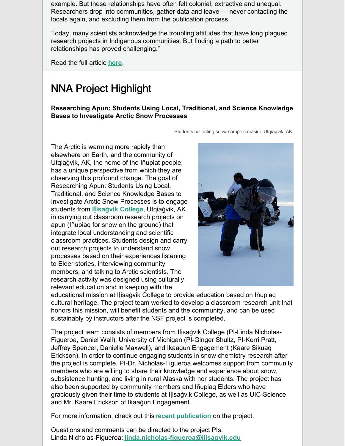example. But these relationships have often felt colonial, extractive and unequal. Researchers drop into communities, gather data and leave — never contacting the locals again, and excluding them from the publication process.

Today, many scientists acknowledge the troubling attitudes that have long plagued research projects in Indigenous communities. But finding a path to better relationships has proved challenging."

Read the full article **[here](https://www.nature.com/articles/d41586-022-00029-2?utm_source=Nature+Briefing&utm_campaign=5e9a2252f2-briefing-dy-20220112&utm_medium=email&utm_term=0_c9dfd39373-5e9a2252f2-43309705)**.

#### NNA Project Highlight

**Researching Apun: Students Using Local, Traditional, and Science Knowledge Bases to Investigate Arctic Snow Processes**

Students collecting snow samples outside Utqiaġvik, AK.

The Arctic is warming more rapidly than elsewhere on Earth, and the community of Utqiaġvik, AK, the home of the Iñupiat people, has a unique perspective from which they are observing this profound change. The goal of Researching Apun: Students Using Local, Traditional, and Science Knowledge Bases to Investigate Arctic Snow Processes is to engage students from **Iḷisaġvik [College](https://www.ilisagvik.edu/)**, Utqiaġvik, AK in carrying out classroom research projects on apun (Iñupiaq for snow on the ground) that integrate local understanding and scientific classroom practices. Students design and carry out research projects to understand snow processes based on their experiences listening to Elder stories, interviewing community members, and talking to Arctic scientists. The research activity was designed using culturally relevant education and in keeping with the



educational mission at Iḷisaġvik College to provide education based on Iñupiaq cultural heritage. The project team worked to develop a classroom research unit that honors this mission, will benefit students and the community, and can be used sustainably by instructors after the NSF project is completed.

The project team consists of members from Ilisagvik College (PI-Linda Nicholas-Figueroa, Daniel Wall), University of Michigan (PI-Ginger Shultz, PI-Kerri Pratt, Jeffrey Spencer, Danielle Maxwell), and Ikaaġun Engagement (Kaare Sikuaq Erickson). In order to continue engaging students in snow chemistry research after the project is complete, PI-Dr. Nicholas-Figueroa welcomes support from community members who are willing to share their knowledge and experience about snow, subsistence hunting, and living in rural Alaska with her students. The project has also been supported by community members and Iñupiaq Elders who have graciously given their time to students at Iḷisaġvik College, as well as UIC-Science and Mr. Kaare Erickson of Ikaaġun Engagement.

For more information, check out this **recent [publication](https://doi.org/10.1021/acs.jchemed.1c00480)** on the project.

Questions and comments can be directed to the project PIs: Linda Nicholas-Figueroa: **[linda.nicholas-figueroa@ilisagvik.edu](mailto:linda.nicholas-figueroa@ilisagvik.edu)**